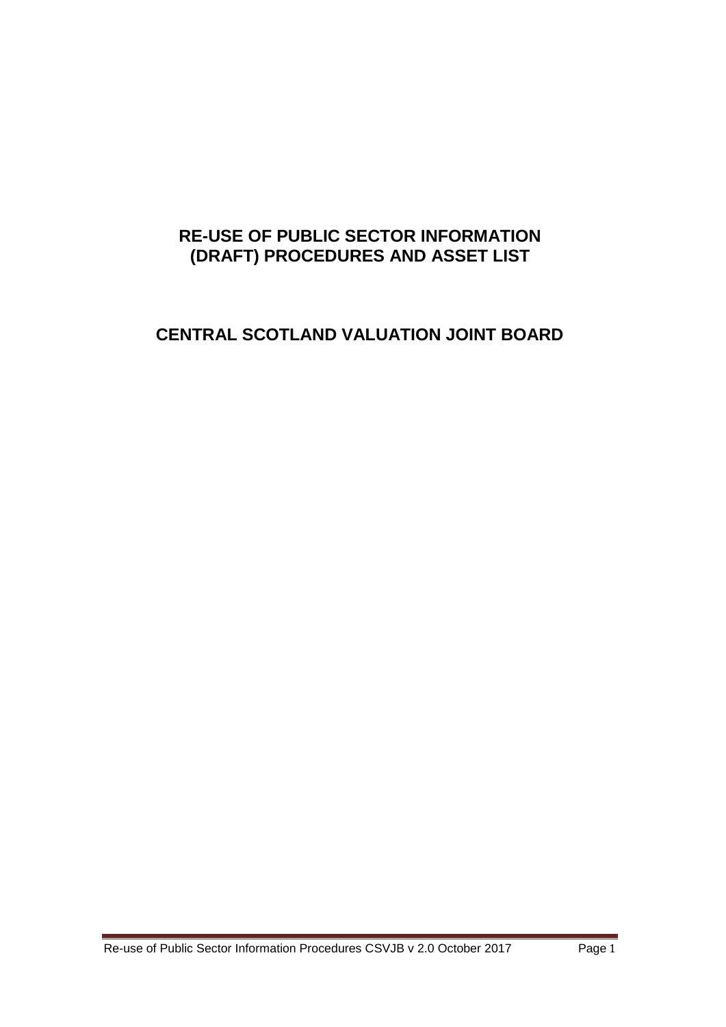## **RE-USE OF PUBLIC SECTOR INFORMATION (DRAFT) PROCEDURES AND ASSET LIST**

# **CENTRAL SCOTLAND VALUATION JOINT BOARD**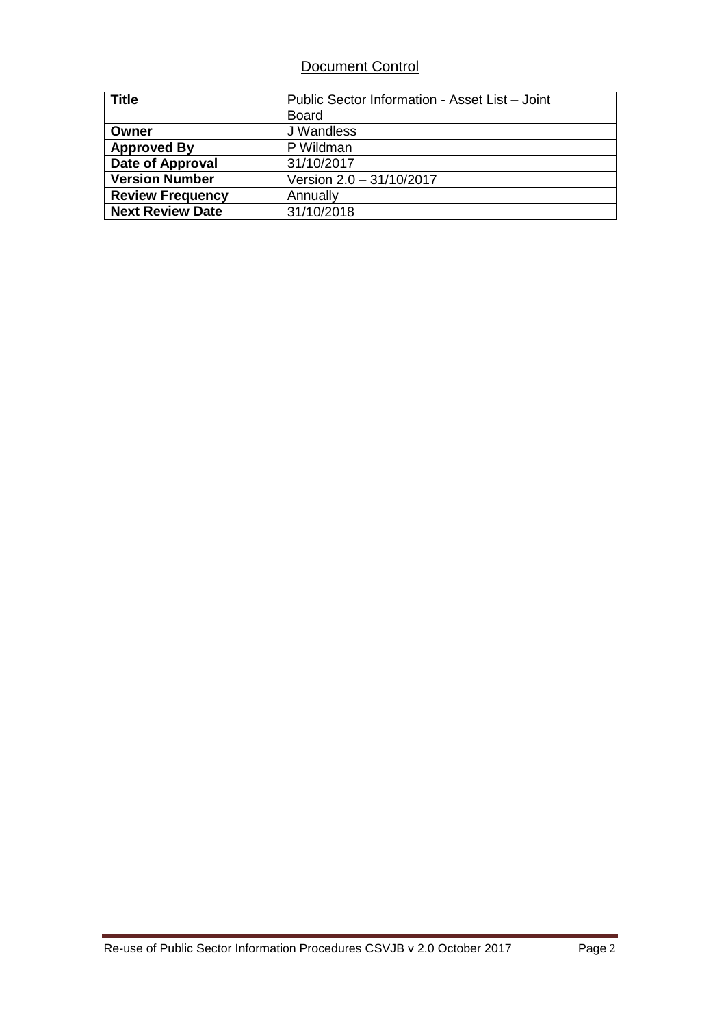## Document Control

| <b>Title</b>            | Public Sector Information - Asset List - Joint |
|-------------------------|------------------------------------------------|
|                         | <b>Board</b>                                   |
| Owner                   | J Wandless                                     |
| <b>Approved By</b>      | P Wildman                                      |
| Date of Approval        | 31/10/2017                                     |
| <b>Version Number</b>   | Version 2.0 - 31/10/2017                       |
| <b>Review Frequency</b> | Annually                                       |
| <b>Next Review Date</b> | 31/10/2018                                     |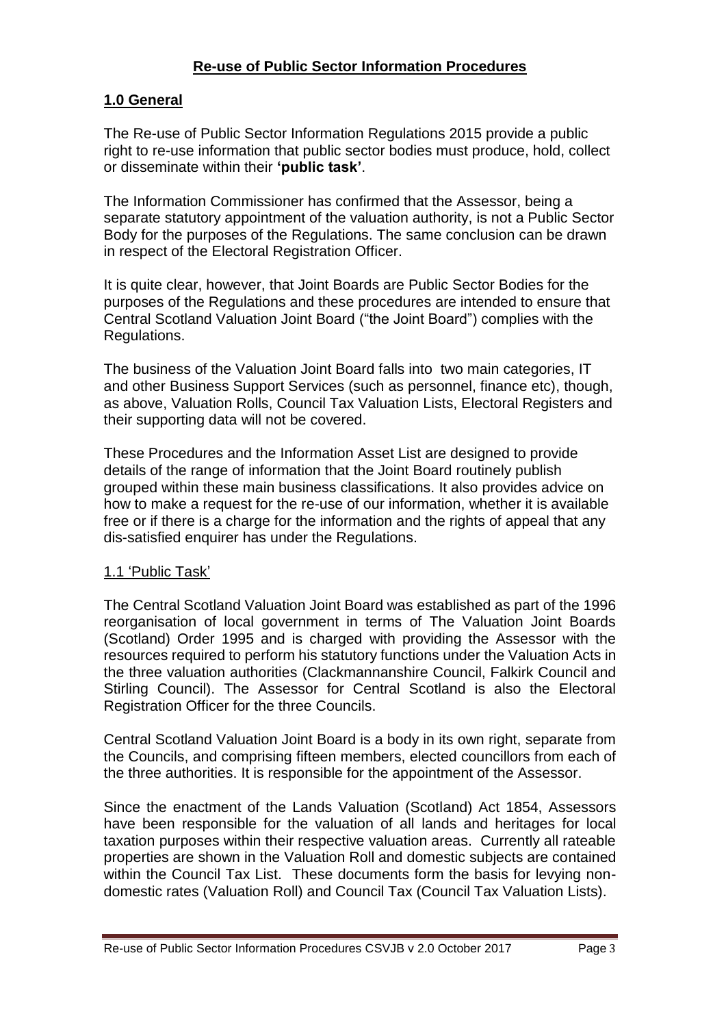#### **Re-use of Public Sector Information Procedures**

#### **1.0 General**

The Re-use of Public Sector Information Regulations 2015 provide a public right to re-use information that public sector bodies must produce, hold, collect or disseminate within their **'public task'**.

The Information Commissioner has confirmed that the Assessor, being a separate statutory appointment of the valuation authority, is not a Public Sector Body for the purposes of the Regulations. The same conclusion can be drawn in respect of the Electoral Registration Officer.

It is quite clear, however, that Joint Boards are Public Sector Bodies for the purposes of the Regulations and these procedures are intended to ensure that Central Scotland Valuation Joint Board ("the Joint Board") complies with the Regulations.

The business of the Valuation Joint Board falls into two main categories, IT and other Business Support Services (such as personnel, finance etc), though, as above, Valuation Rolls, Council Tax Valuation Lists, Electoral Registers and their supporting data will not be covered.

These Procedures and the Information Asset List are designed to provide details of the range of information that the Joint Board routinely publish grouped within these main business classifications. It also provides advice on how to make a request for the re-use of our information, whether it is available free or if there is a charge for the information and the rights of appeal that any dis-satisfied enquirer has under the Regulations.

#### 1.1 'Public Task'

The Central Scotland Valuation Joint Board was established as part of the 1996 reorganisation of local government in terms of The Valuation Joint Boards (Scotland) Order 1995 and is charged with providing the Assessor with the resources required to perform his statutory functions under the Valuation Acts in the three valuation authorities (Clackmannanshire Council, Falkirk Council and Stirling Council). The Assessor for Central Scotland is also the Electoral Registration Officer for the three Councils.

Central Scotland Valuation Joint Board is a body in its own right, separate from the Councils, and comprising fifteen members, elected councillors from each of the three authorities. It is responsible for the appointment of the Assessor.

Since the enactment of the Lands Valuation (Scotland) Act 1854, Assessors have been responsible for the valuation of all lands and heritages for local taxation purposes within their respective valuation areas. Currently all rateable properties are shown in the Valuation Roll and domestic subjects are contained within the Council Tax List. These documents form the basis for levying nondomestic rates (Valuation Roll) and Council Tax (Council Tax Valuation Lists).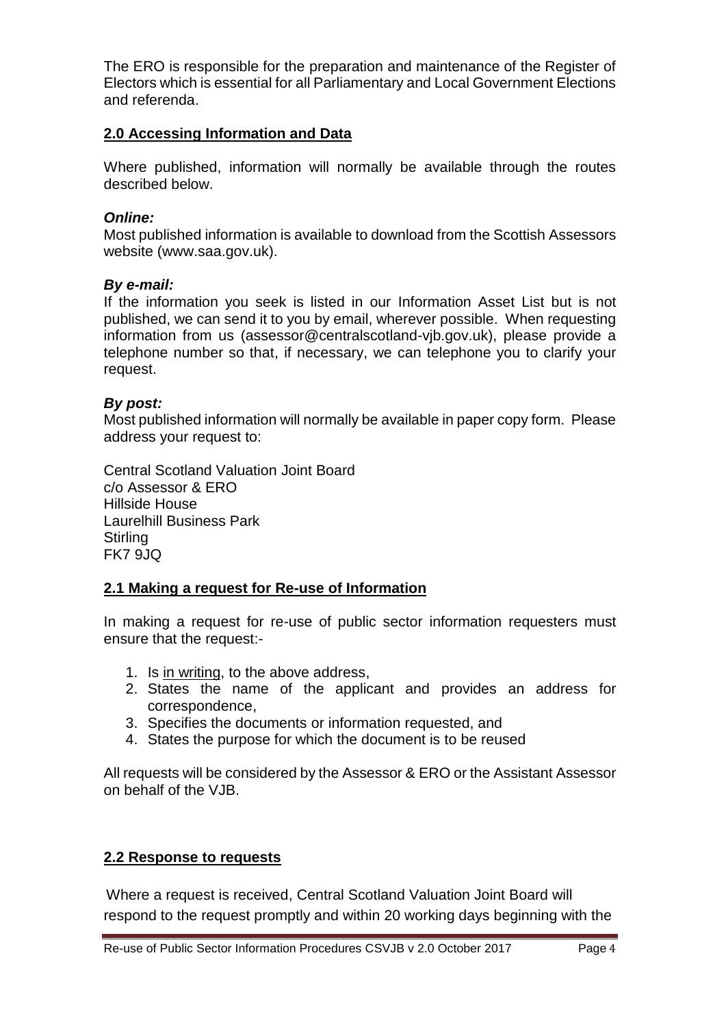The ERO is responsible for the preparation and maintenance of the Register of Electors which is essential for all Parliamentary and Local Government Elections and referenda.

### **2.0 Accessing Information and Data**

Where published, information will normally be available through the routes described below.

#### *Online:*

Most published information is available to download from the Scottish Assessors website (www.saa.gov.uk).

#### *By e-mail:*

If the information you seek is listed in our Information Asset List but is not published, we can send it to you by email, wherever possible. When requesting information from us (assessor@centralscotland-vjb.gov.uk), please provide a telephone number so that, if necessary, we can telephone you to clarify your request.

#### *By post:*

Most published information will normally be available in paper copy form. Please address your request to:

Central Scotland Valuation Joint Board c/o Assessor & ERO Hillside House Laurelhill Business Park **Stirling** FK7 9JQ

### **2.1 Making a request for Re-use of Information**

In making a request for re-use of public sector information requesters must ensure that the request:-

- 1. Is in writing, to the above address,
- 2. States the name of the applicant and provides an address for correspondence,
- 3. Specifies the documents or information requested, and
- 4. States the purpose for which the document is to be reused

All requests will be considered by the Assessor & ERO or the Assistant Assessor on behalf of the VJB.

### **2.2 Response to requests**

Where a request is received, Central Scotland Valuation Joint Board will respond to the request promptly and within 20 working days beginning with the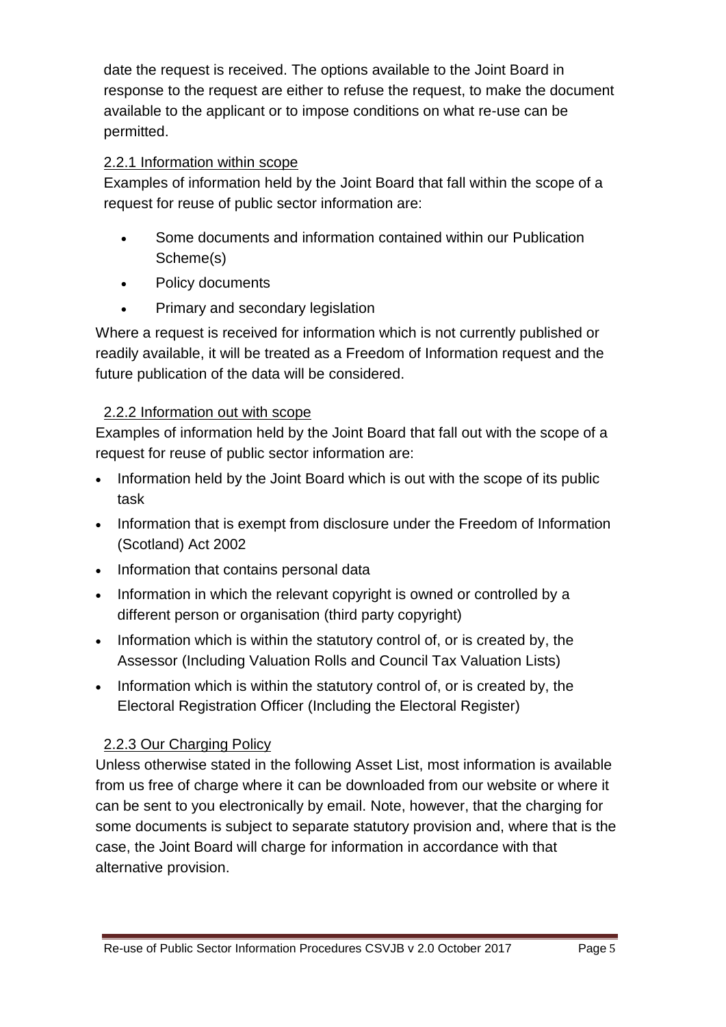date the request is received. The options available to the Joint Board in response to the request are either to refuse the request, to make the document available to the applicant or to impose conditions on what re-use can be permitted.

## 2.2.1 Information within scope

Examples of information held by the Joint Board that fall within the scope of a request for reuse of public sector information are:

- Some documents and information contained within our Publication Scheme(s)
- Policy documents
- Primary and secondary legislation

Where a request is received for information which is not currently published or readily available, it will be treated as a Freedom of Information request and the future publication of the data will be considered.

## 2.2.2 Information out with scope

Examples of information held by the Joint Board that fall out with the scope of a request for reuse of public sector information are:

- Information held by the Joint Board which is out with the scope of its public task
- Information that is exempt from disclosure under the Freedom of Information (Scotland) Act 2002
- Information that contains personal data
- Information in which the relevant copyright is owned or controlled by a different person or organisation (third party copyright)
- Information which is within the statutory control of, or is created by, the Assessor (Including Valuation Rolls and Council Tax Valuation Lists)
- Information which is within the statutory control of, or is created by, the Electoral Registration Officer (Including the Electoral Register)

## 2.2.3 Our Charging Policy

Unless otherwise stated in the following Asset List, most information is available from us free of charge where it can be downloaded from our website or where it can be sent to you electronically by email. Note, however, that the charging for some documents is subject to separate statutory provision and, where that is the case, the Joint Board will charge for information in accordance with that alternative provision.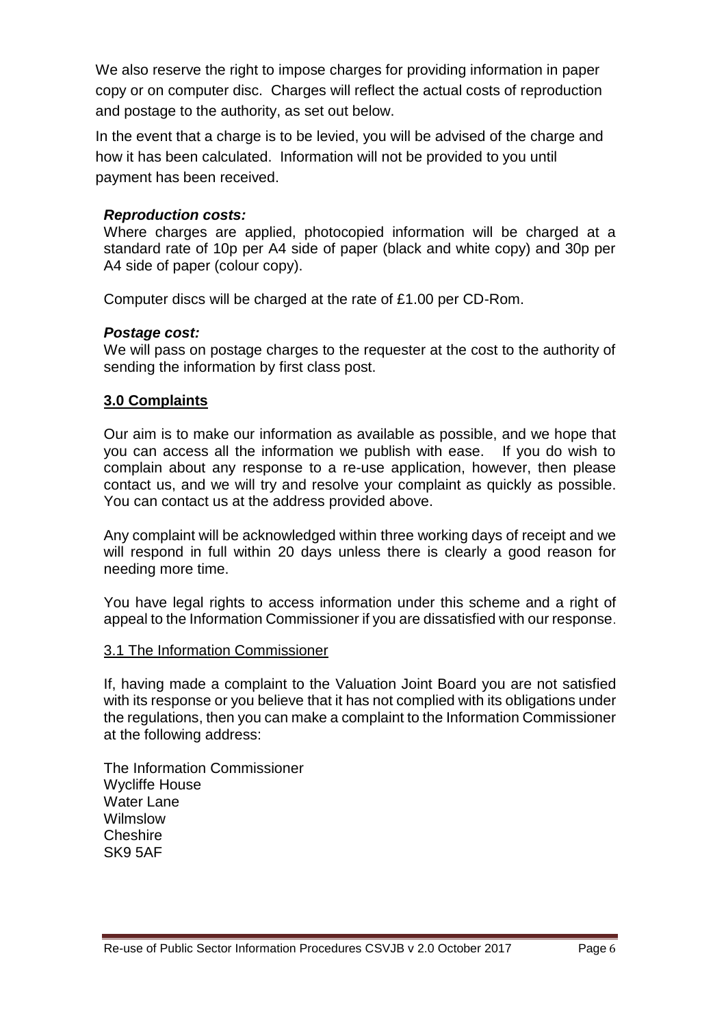We also reserve the right to impose charges for providing information in paper copy or on computer disc. Charges will reflect the actual costs of reproduction and postage to the authority, as set out below.

In the event that a charge is to be levied, you will be advised of the charge and how it has been calculated. Information will not be provided to you until payment has been received.

#### *Reproduction costs:*

Where charges are applied, photocopied information will be charged at a standard rate of 10p per A4 side of paper (black and white copy) and 30p per A4 side of paper (colour copy).

Computer discs will be charged at the rate of £1.00 per CD-Rom.

#### *Postage cost:*

We will pass on postage charges to the requester at the cost to the authority of sending the information by first class post.

#### **3.0 Complaints**

Our aim is to make our information as available as possible, and we hope that you can access all the information we publish with ease. If you do wish to complain about any response to a re-use application, however, then please contact us, and we will try and resolve your complaint as quickly as possible. You can contact us at the address provided above.

Any complaint will be acknowledged within three working days of receipt and we will respond in full within 20 days unless there is clearly a good reason for needing more time.

You have legal rights to access information under this scheme and a right of appeal to the Information Commissioner if you are dissatisfied with our response.

#### 3.1 The Information Commissioner

If, having made a complaint to the Valuation Joint Board you are not satisfied with its response or you believe that it has not complied with its obligations under the regulations, then you can make a complaint to the Information Commissioner at the following address:

The Information Commissioner Wycliffe House Water Lane Wilmslow Cheshire SK9 5AF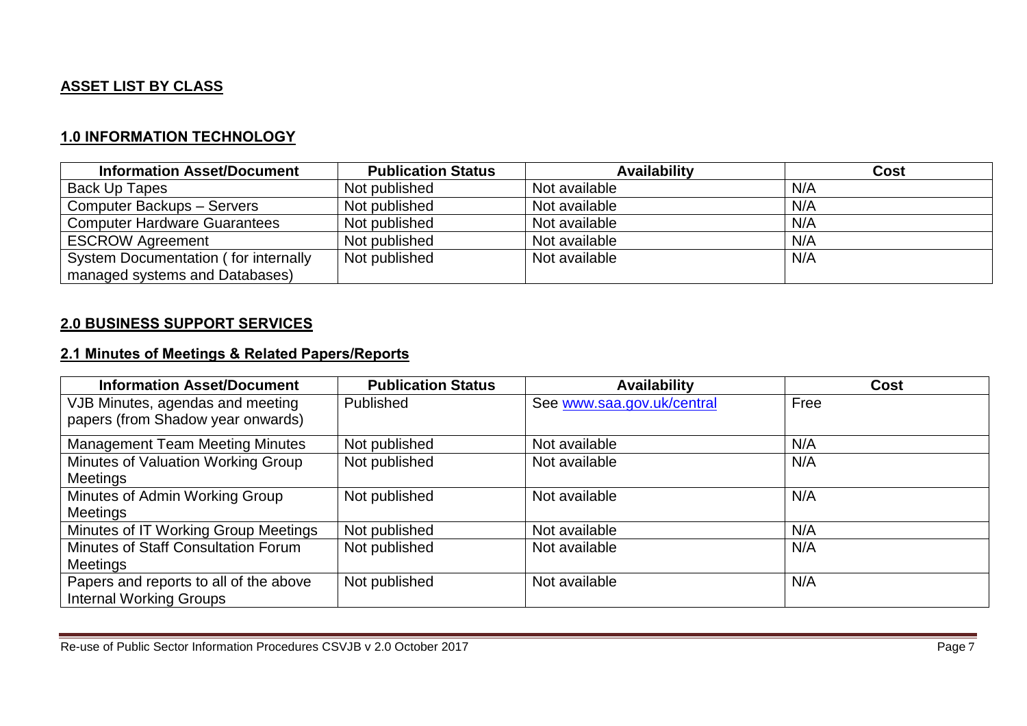## **ASSET LIST BY CLASS**

### **1.0 INFORMATION TECHNOLOGY**

| <b>Information Asset/Document</b>    | <b>Publication Status</b> | <b>Availability</b> | Cost |
|--------------------------------------|---------------------------|---------------------|------|
| Back Up Tapes                        | Not published             | Not available       | N/A  |
| Computer Backups - Servers           | Not published             | Not available       | N/A  |
| <b>Computer Hardware Guarantees</b>  | Not published             | Not available       | N/A  |
| <b>ESCROW Agreement</b>              | Not published             | Not available       | N/A  |
| System Documentation (for internally | Not published             | Not available       | N/A  |
| managed systems and Databases)       |                           |                     |      |

### **2.0 BUSINESS SUPPORT SERVICES**

#### **2.1 Minutes of Meetings & Related Papers/Reports**

| <b>Information Asset/Document</b>      | <b>Publication Status</b> | <b>Availability</b>        | <b>Cost</b> |
|----------------------------------------|---------------------------|----------------------------|-------------|
| VJB Minutes, agendas and meeting       | Published                 | See www.saa.gov.uk/central | Free        |
| papers (from Shadow year onwards)      |                           |                            |             |
| <b>Management Team Meeting Minutes</b> | Not published             | Not available              | N/A         |
| Minutes of Valuation Working Group     | Not published             | Not available              | N/A         |
| Meetings                               |                           |                            |             |
| Minutes of Admin Working Group         | Not published             | Not available              | N/A         |
| Meetings                               |                           |                            |             |
| Minutes of IT Working Group Meetings   | Not published             | Not available              | N/A         |
| Minutes of Staff Consultation Forum    | Not published             | Not available              | N/A         |
| Meetings                               |                           |                            |             |
| Papers and reports to all of the above | Not published             | Not available              | N/A         |
| <b>Internal Working Groups</b>         |                           |                            |             |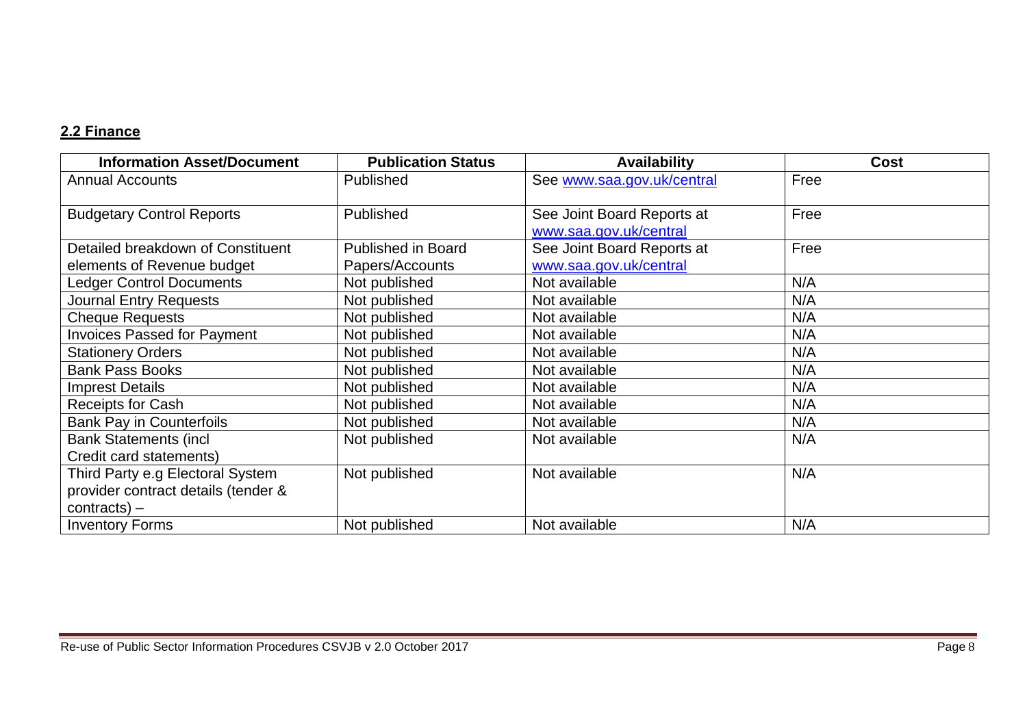# **2.2 Finance**

| <b>Information Asset/Document</b>   | <b>Publication Status</b> | <b>Availability</b>        | <b>Cost</b> |
|-------------------------------------|---------------------------|----------------------------|-------------|
| <b>Annual Accounts</b>              | Published                 | See www.saa.gov.uk/central | Free        |
|                                     |                           |                            |             |
| <b>Budgetary Control Reports</b>    | Published                 | See Joint Board Reports at | Free        |
|                                     |                           | www.saa.gov.uk/central     |             |
| Detailed breakdown of Constituent   | <b>Published in Board</b> | See Joint Board Reports at | Free        |
| elements of Revenue budget          | Papers/Accounts           | www.saa.gov.uk/central     |             |
| <b>Ledger Control Documents</b>     | Not published             | Not available              | N/A         |
| <b>Journal Entry Requests</b>       | Not published             | Not available              | N/A         |
| <b>Cheque Requests</b>              | Not published             | Not available              | N/A         |
| <b>Invoices Passed for Payment</b>  | Not published             | Not available              | N/A         |
| <b>Stationery Orders</b>            | Not published             | Not available              | N/A         |
| <b>Bank Pass Books</b>              | Not published             | Not available              | N/A         |
| <b>Imprest Details</b>              | Not published             | Not available              | N/A         |
| <b>Receipts for Cash</b>            | Not published             | Not available              | N/A         |
| <b>Bank Pay in Counterfoils</b>     | Not published             | Not available              | N/A         |
| <b>Bank Statements (incl</b>        | Not published             | Not available              | N/A         |
| Credit card statements)             |                           |                            |             |
| Third Party e.g Electoral System    | Not published             | Not available              | N/A         |
| provider contract details (tender & |                           |                            |             |
| $contracts$ ) –                     |                           |                            |             |
| <b>Inventory Forms</b>              | Not published             | Not available              | N/A         |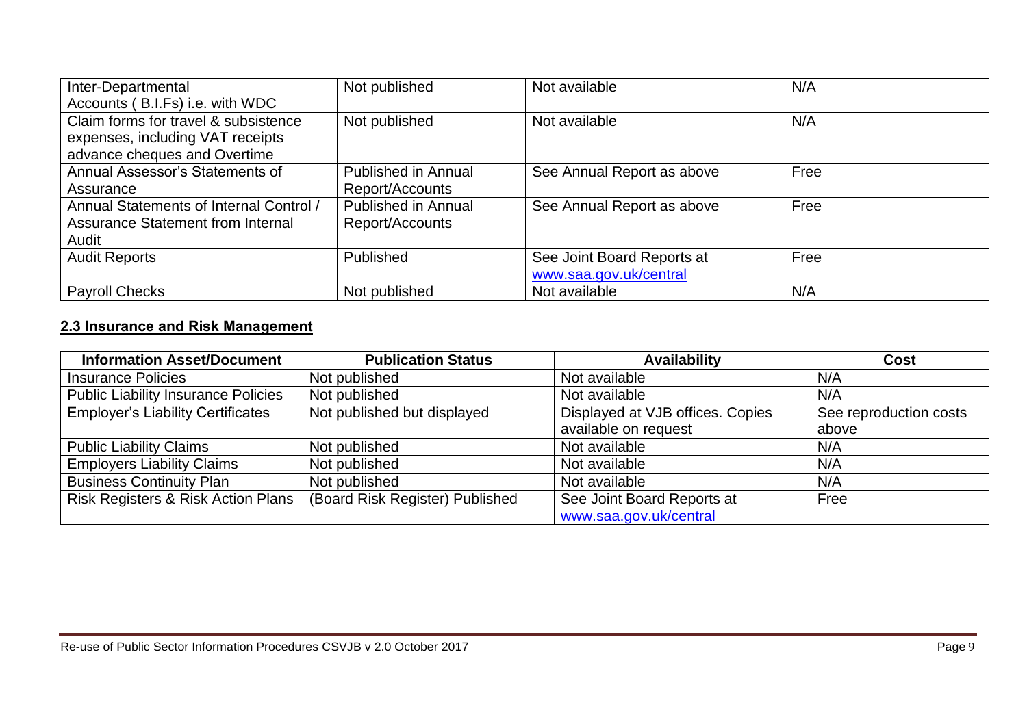| Inter-Departmental                      | Not published              | Not available              | N/A  |
|-----------------------------------------|----------------------------|----------------------------|------|
| Accounts (B.I.Fs) i.e. with WDC         |                            |                            |      |
| Claim forms for travel & subsistence    | Not published              | Not available              | N/A  |
| expenses, including VAT receipts        |                            |                            |      |
| advance cheques and Overtime            |                            |                            |      |
| Annual Assessor's Statements of         | <b>Published in Annual</b> | See Annual Report as above | Free |
| Assurance                               | Report/Accounts            |                            |      |
| Annual Statements of Internal Control / | <b>Published in Annual</b> | See Annual Report as above | Free |
| Assurance Statement from Internal       | Report/Accounts            |                            |      |
| Audit                                   |                            |                            |      |
| <b>Audit Reports</b>                    | Published                  | See Joint Board Reports at | Free |
|                                         |                            | www.saa.gov.uk/central     |      |
| <b>Payroll Checks</b>                   | Not published              | Not available              | N/A  |

# **2.3 Insurance and Risk Management**

| <b>Information Asset/Document</b>          | <b>Publication Status</b>       | <b>Availability</b>              | Cost                   |
|--------------------------------------------|---------------------------------|----------------------------------|------------------------|
| <b>Insurance Policies</b>                  | Not published                   | Not available                    | N/A                    |
| <b>Public Liability Insurance Policies</b> | Not published                   | Not available                    | N/A                    |
| <b>Employer's Liability Certificates</b>   | Not published but displayed     | Displayed at VJB offices. Copies | See reproduction costs |
|                                            |                                 | available on request             | above                  |
| <b>Public Liability Claims</b>             | Not published                   | Not available                    | N/A                    |
| <b>Employers Liability Claims</b>          | Not published                   | Not available                    | N/A                    |
| <b>Business Continuity Plan</b>            | Not published                   | Not available                    | N/A                    |
| Risk Registers & Risk Action Plans         | (Board Risk Register) Published | See Joint Board Reports at       | Free                   |
|                                            |                                 | www.saa.gov.uk/central           |                        |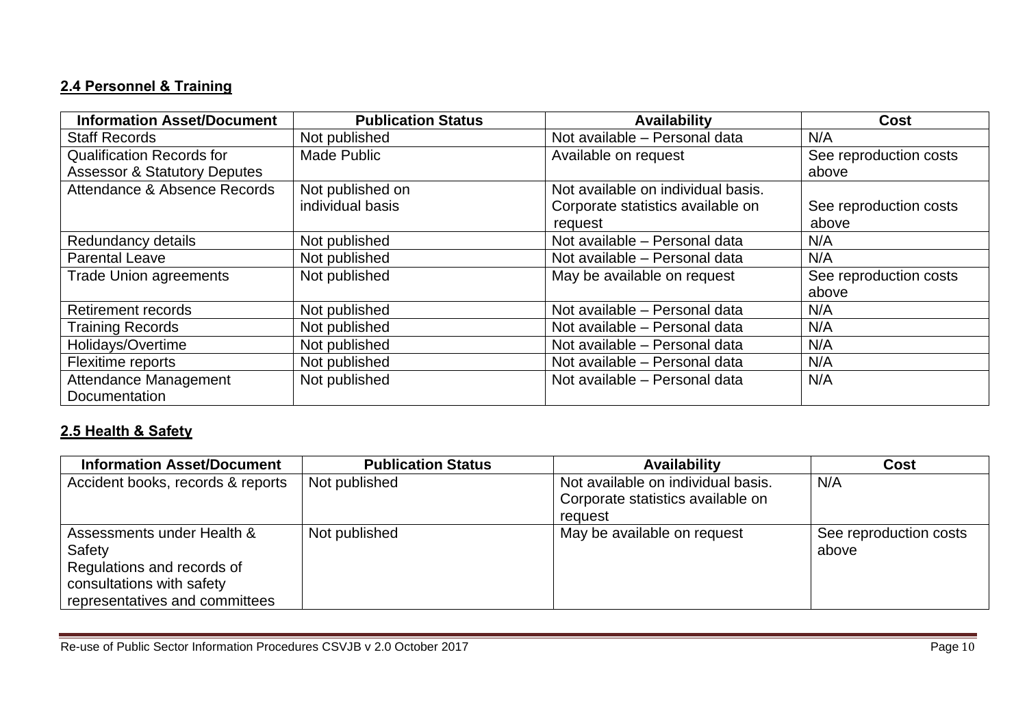# **2.4 Personnel & Training**

| <b>Information Asset/Document</b>       | <b>Publication Status</b> | <b>Availability</b>                | Cost                   |
|-----------------------------------------|---------------------------|------------------------------------|------------------------|
| <b>Staff Records</b>                    | Not published             | Not available - Personal data      | N/A                    |
| <b>Qualification Records for</b>        | <b>Made Public</b>        | Available on request               | See reproduction costs |
| <b>Assessor &amp; Statutory Deputes</b> |                           |                                    | above                  |
| Attendance & Absence Records            | Not published on          | Not available on individual basis. |                        |
|                                         | individual basis          | Corporate statistics available on  | See reproduction costs |
|                                         |                           | request                            | above                  |
| Redundancy details                      | Not published             | Not available - Personal data      | N/A                    |
| <b>Parental Leave</b>                   | Not published             | Not available - Personal data      | N/A                    |
| <b>Trade Union agreements</b>           | Not published             | May be available on request        | See reproduction costs |
|                                         |                           |                                    | above                  |
| <b>Retirement records</b>               | Not published             | Not available - Personal data      | N/A                    |
| <b>Training Records</b>                 | Not published             | Not available - Personal data      | N/A                    |
| Holidays/Overtime                       | Not published             | Not available - Personal data      | N/A                    |
| Flexitime reports                       | Not published             | Not available - Personal data      | N/A                    |
| <b>Attendance Management</b>            | Not published             | Not available - Personal data      | N/A                    |
| Documentation                           |                           |                                    |                        |

## **2.5 Health & Safety**

| <b>Information Asset/Document</b>                                                                                                 | <b>Publication Status</b> | <b>Availability</b>                                                                | Cost                            |
|-----------------------------------------------------------------------------------------------------------------------------------|---------------------------|------------------------------------------------------------------------------------|---------------------------------|
| Accident books, records & reports                                                                                                 | Not published             | Not available on individual basis.<br>Corporate statistics available on<br>request | N/A                             |
| Assessments under Health &<br>Safety<br>Regulations and records of<br>consultations with safety<br>representatives and committees | Not published             | May be available on request                                                        | See reproduction costs<br>above |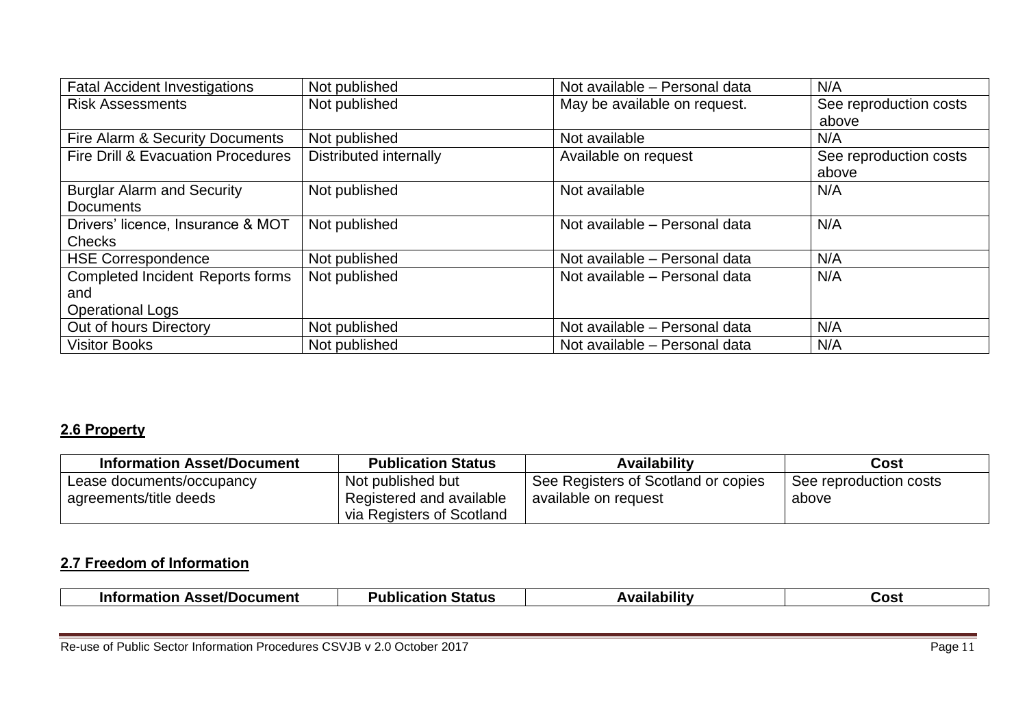| <b>Fatal Accident Investigations</b>    | Not published          | Not available - Personal data | N/A                    |
|-----------------------------------------|------------------------|-------------------------------|------------------------|
| <b>Risk Assessments</b>                 | Not published          | May be available on request.  | See reproduction costs |
|                                         |                        |                               | above                  |
| Fire Alarm & Security Documents         | Not published          | Not available                 | N/A                    |
| Fire Drill & Evacuation Procedures      | Distributed internally | Available on request          | See reproduction costs |
|                                         |                        |                               | above                  |
| <b>Burglar Alarm and Security</b>       | Not published          | Not available                 | N/A                    |
| <b>Documents</b>                        |                        |                               |                        |
| Drivers' licence, Insurance & MOT       | Not published          | Not available - Personal data | N/A                    |
| <b>Checks</b>                           |                        |                               |                        |
| <b>HSE Correspondence</b>               | Not published          | Not available - Personal data | N/A                    |
| <b>Completed Incident Reports forms</b> | Not published          | Not available - Personal data | N/A                    |
| and                                     |                        |                               |                        |
| <b>Operational Logs</b>                 |                        |                               |                        |
| Out of hours Directory                  | Not published          | Not available - Personal data | N/A                    |
| <b>Visitor Books</b>                    | Not published          | Not available - Personal data | N/A                    |

# **2.6 Property**

| <b>Information Asset/Document</b> | <b>Publication Status</b> | Availabilitv                        | Cost                   |
|-----------------------------------|---------------------------|-------------------------------------|------------------------|
| Lease documents/occupancy         | Not published but         | See Registers of Scotland or copies | See reproduction costs |
| agreements/title deeds            | Registered and available  | available on request                | above                  |
|                                   | via Registers of Scotland |                                     |                        |

## **2.7 Freedom of Information**

| <b>Asset/Document</b><br>Information | . .<br>Status<br>чісат. | . .<br>--- | JOSt |
|--------------------------------------|-------------------------|------------|------|

Re-use of Public Sector Information Procedures CSVJB v 2.0 October 2017 Page 11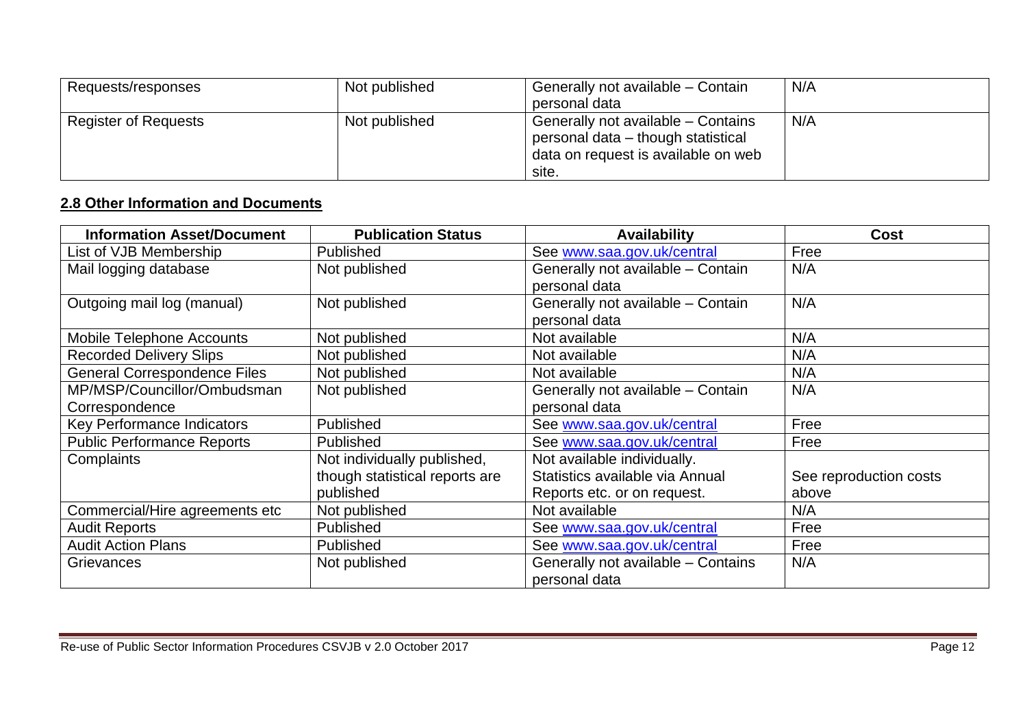| Requests/responses          | Not published | Generally not available – Contain   | N/A |
|-----------------------------|---------------|-------------------------------------|-----|
|                             |               | personal data                       |     |
| <b>Register of Requests</b> | Not published | Generally not available – Contains  | N/A |
|                             |               | personal data – though statistical  |     |
|                             |               | data on request is available on web |     |
|                             |               | site.                               |     |

## **2.8 Other Information and Documents**

| <b>Information Asset/Document</b>   | <b>Publication Status</b>      | <b>Availability</b>                | <b>Cost</b>            |
|-------------------------------------|--------------------------------|------------------------------------|------------------------|
| List of VJB Membership              | Published                      | See www.saa.gov.uk/central         | Free                   |
| Mail logging database               | Not published                  | Generally not available - Contain  | N/A                    |
|                                     |                                | personal data                      |                        |
| Outgoing mail log (manual)          | Not published                  | Generally not available - Contain  | N/A                    |
|                                     |                                | personal data                      |                        |
| Mobile Telephone Accounts           | Not published                  | Not available                      | N/A                    |
| <b>Recorded Delivery Slips</b>      | Not published                  | Not available                      | N/A                    |
| <b>General Correspondence Files</b> | Not published                  | Not available                      | N/A                    |
| MP/MSP/Councillor/Ombudsman         | Not published                  | Generally not available - Contain  | N/A                    |
| Correspondence                      |                                | personal data                      |                        |
| Key Performance Indicators          | Published                      | See www.saa.gov.uk/central         | Free                   |
| <b>Public Performance Reports</b>   | Published                      | See www.saa.gov.uk/central         | Free                   |
| Complaints                          | Not individually published,    | Not available individually.        |                        |
|                                     | though statistical reports are | Statistics available via Annual    | See reproduction costs |
|                                     | published                      | Reports etc. or on request.        | above                  |
| Commercial/Hire agreements etc      | Not published                  | Not available                      | N/A                    |
| <b>Audit Reports</b>                | Published                      | See www.saa.gov.uk/central         | Free                   |
| <b>Audit Action Plans</b>           | Published                      | See www.saa.gov.uk/central         | Free                   |
| Grievances                          | Not published                  | Generally not available - Contains | N/A                    |
|                                     |                                | personal data                      |                        |